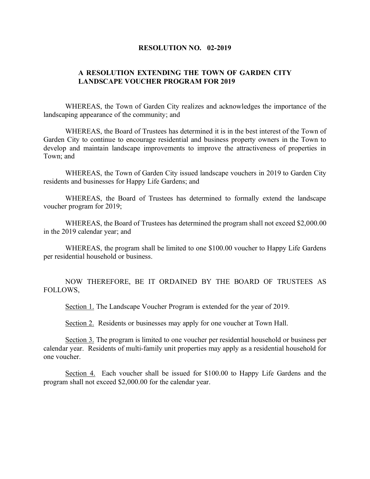## **RESOLUTION NO. 02-2019**

## **A RESOLUTION EXTENDING THE TOWN OF GARDEN CITY LANDSCAPE VOUCHER PROGRAM FOR 2019**

WHEREAS, the Town of Garden City realizes and acknowledges the importance of the landscaping appearance of the community; and

WHEREAS, the Board of Trustees has determined it is in the best interest of the Town of Garden City to continue to encourage residential and business property owners in the Town to develop and maintain landscape improvements to improve the attractiveness of properties in Town; and

WHEREAS, the Town of Garden City issued landscape vouchers in 2019 to Garden City residents and businesses for Happy Life Gardens; and

WHEREAS, the Board of Trustees has determined to formally extend the landscape voucher program for 2019;

WHEREAS, the Board of Trustees has determined the program shall not exceed \$2,000.00 in the 2019 calendar year; and

WHEREAS, the program shall be limited to one \$100.00 voucher to Happy Life Gardens per residential household or business.

NOW THEREFORE, BE IT ORDAINED BY THE BOARD OF TRUSTEES AS FOLLOWS,

Section 1. The Landscape Voucher Program is extended for the year of 2019.

Section 2. Residents or businesses may apply for one voucher at Town Hall.

Section 3. The program is limited to one voucher per residential household or business per calendar year. Residents of multi-family unit properties may apply as a residential household for one voucher.

Section 4. Each voucher shall be issued for \$100.00 to Happy Life Gardens and the program shall not exceed \$2,000.00 for the calendar year.